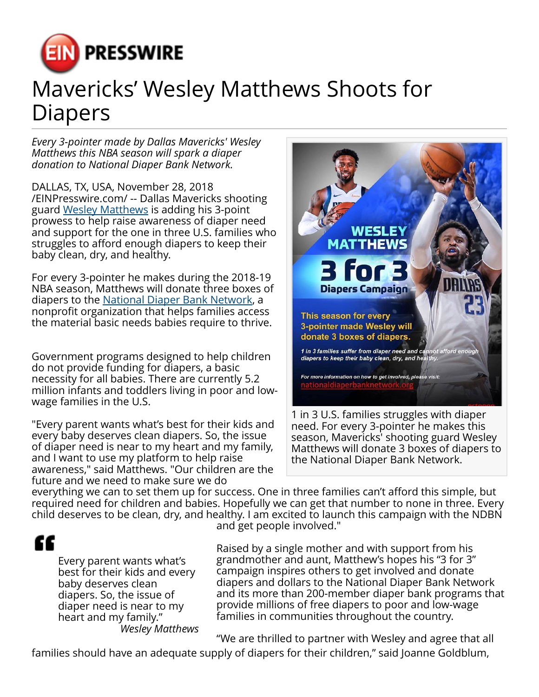

## Mavericks' Wesley Matthews Shoots for Diapers

*Every 3-pointer made by Dallas Mavericks' Wesley Matthews this NBA season will spark a diaper donation to National Diaper Bank Network.*

DALLAS, TX, USA, November 28, 2018 [/EINPresswire.com/](http://www.einpresswire.com) -- Dallas Mavericks shooting guard [Wesley Matthews](https://www.instagram.com/p/Bqs1hHKnwVs/) is adding his 3-point prowess to help raise awareness of diaper need and support for the one in three U.S. families who struggles to afford enough diapers to keep their baby clean, dry, and healthy.

For every 3-pointer he makes during the 2018-19 NBA season, Matthews will donate three boxes of diapers to the [National Diaper Bank Network,](http://nationaldiaperbanknetwork.org) a nonprofit organization that helps families access the material basic needs babies require to thrive.

Government programs designed to help children do not provide funding for diapers, a basic necessity for all babies. There are currently 5.2 million infants and toddlers living in poor and lowwage families in the U.S.

"Every parent wants what's best for their kids and every baby deserves clean diapers. So, the issue of diaper need is near to my heart and my family, and I want to use my platform to help raise awareness," said Matthews. "Our children are the future and we need to make sure we do



need. For every 3-pointer he makes this season, Mavericks' shooting guard Wesley Matthews will donate 3 boxes of diapers to the National Diaper Bank Network.

everything we can to set them up for success. One in three families can't afford this simple, but required need for children and babies. Hopefully we can get that number to none in three. Every child deserves to be clean, dry, and healthy. I am excited to launch this campaign with the NDBN

æ

Every parent wants what's best for their kids and every baby deserves clean diapers. So, the issue of diaper need is near to my heart and my family." *Wesley Matthews* and get people involved."

Raised by a single mother and with support from his grandmother and aunt, Matthew's hopes his "3 for 3" campaign inspires others to get involved and donate diapers and dollars to the National Diaper Bank Network and its more than 200-member diaper bank programs that provide millions of free diapers to poor and low-wage families in communities throughout the country.

"We are thrilled to partner with Wesley and agree that all

families should have an adequate supply of diapers for their children," said Joanne Goldblum,